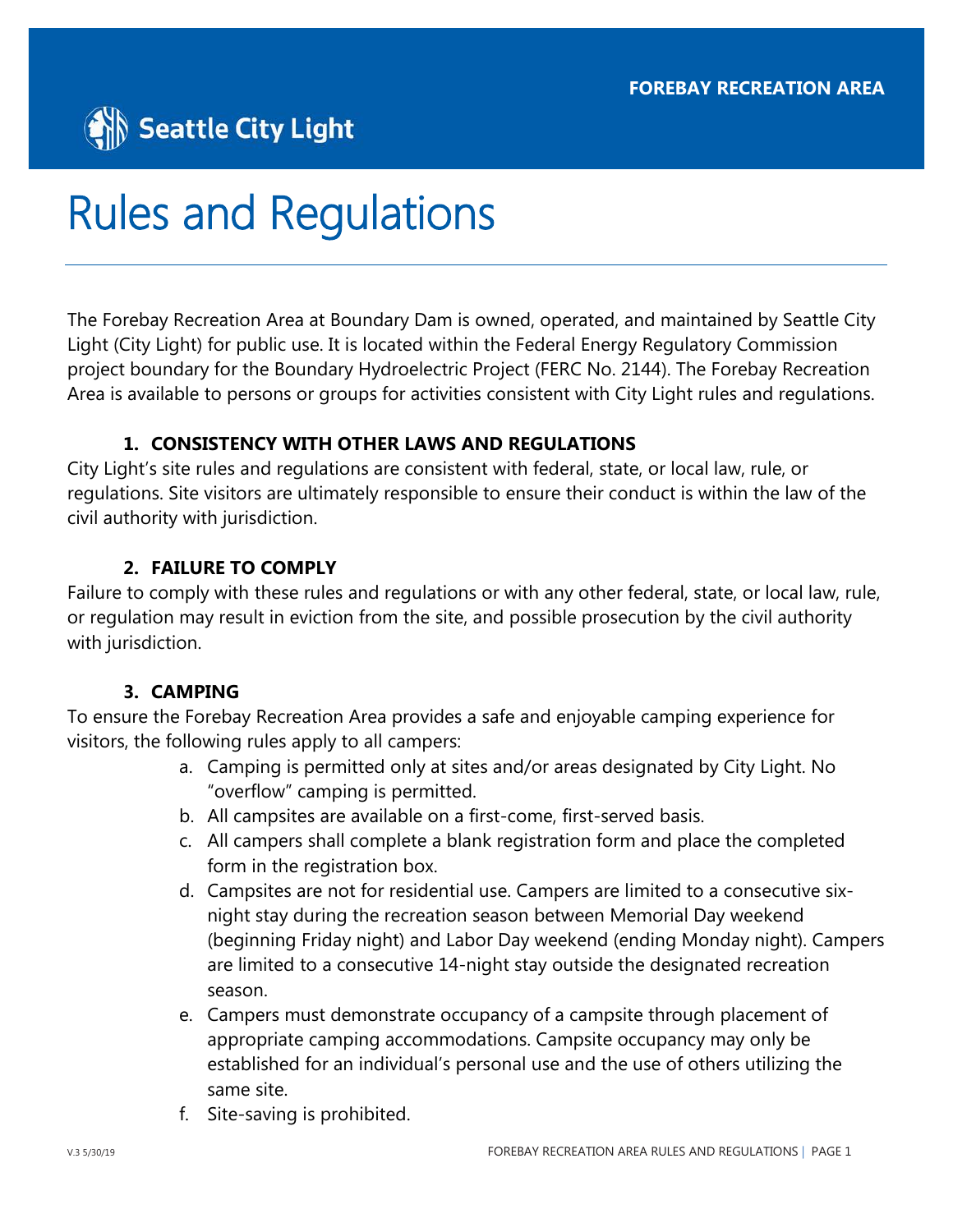# Seattle City Light

# Rules and Regulations

The Forebay Recreation Area at Boundary Dam is owned, operated, and maintained by Seattle City Light (City Light) for public use. It is located within the Federal Energy Regulatory Commission project boundary for the Boundary Hydroelectric Project (FERC No. 2144). The Forebay Recreation Area is available to persons or groups for activities consistent with City Light rules and regulations.

# **1. CONSISTENCY WITH OTHER LAWS AND REGULATIONS**

City Light's site rules and regulations are consistent with federal, state, or local law, rule, or regulations. Site visitors are ultimately responsible to ensure their conduct is within the law of the civil authority with jurisdiction.

# **2. FAILURE TO COMPLY**

Failure to comply with these rules and regulations or with any other federal, state, or local law, rule, or regulation may result in eviction from the site, and possible prosecution by the civil authority with jurisdiction.

# **3. CAMPING**

To ensure the Forebay Recreation Area provides a safe and enjoyable camping experience for visitors, the following rules apply to all campers:

- a. Camping is permitted only at sites and/or areas designated by City Light. No "overflow" camping is permitted.
- b. All campsites are available on a first-come, first-served basis.
- c. All campers shall complete a blank registration form and place the completed form in the registration box.
- d. Campsites are not for residential use. Campers are limited to a consecutive sixnight stay during the recreation season between Memorial Day weekend (beginning Friday night) and Labor Day weekend (ending Monday night). Campers are limited to a consecutive 14-night stay outside the designated recreation season.
- e. Campers must demonstrate occupancy of a campsite through placement of appropriate camping accommodations. Campsite occupancy may only be established for an individual's personal use and the use of others utilizing the same site.
- f. Site-saving is prohibited.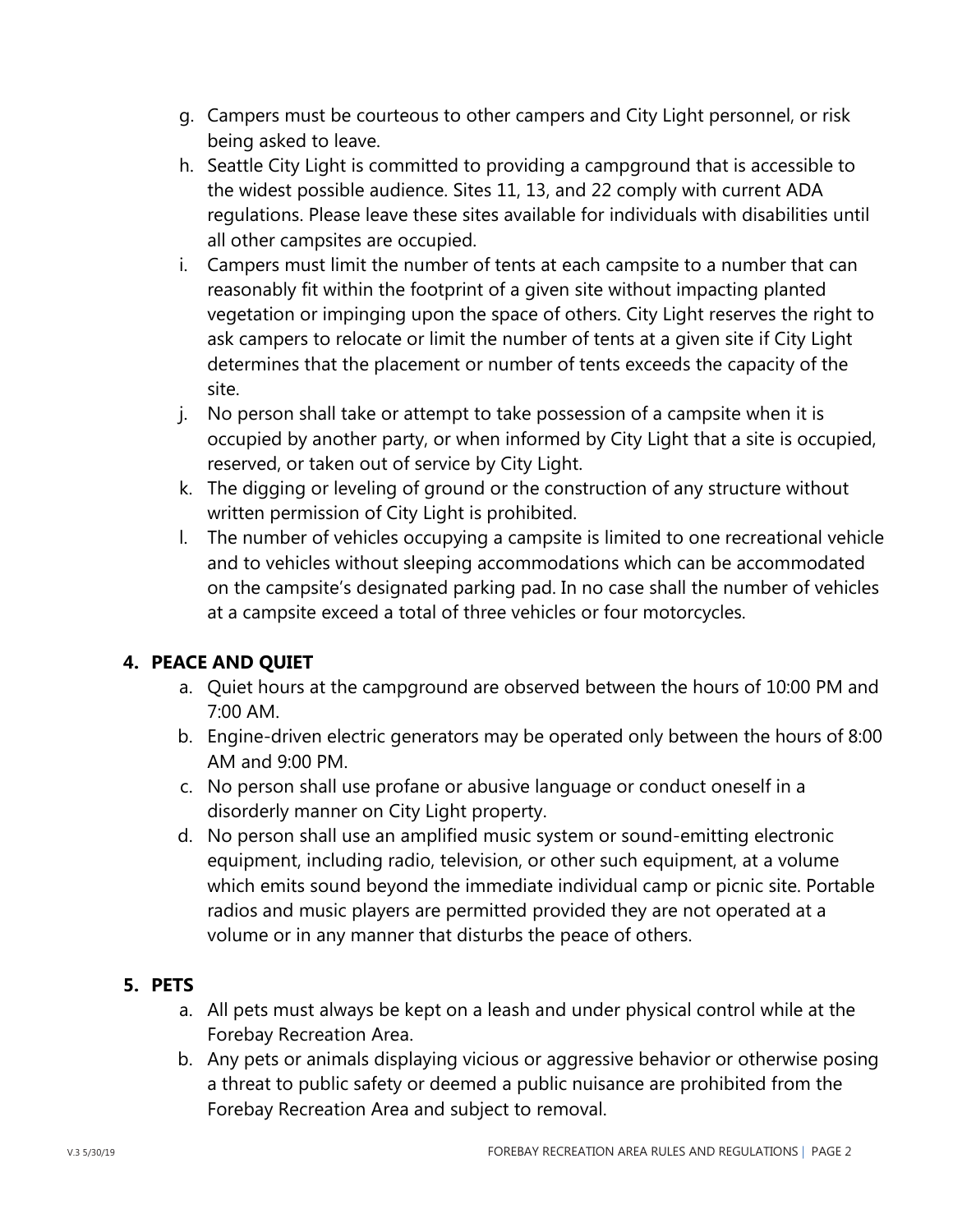- g. Campers must be courteous to other campers and City Light personnel, or risk being asked to leave.
- h. Seattle City Light is committed to providing a campground that is accessible to the widest possible audience. Sites 11, 13, and 22 comply with current ADA regulations. Please leave these sites available for individuals with disabilities until all other campsites are occupied.
- i. Campers must limit the number of tents at each campsite to a number that can reasonably fit within the footprint of a given site without impacting planted vegetation or impinging upon the space of others. City Light reserves the right to ask campers to relocate or limit the number of tents at a given site if City Light determines that the placement or number of tents exceeds the capacity of the site.
- j. No person shall take or attempt to take possession of a campsite when it is occupied by another party, or when informed by City Light that a site is occupied, reserved, or taken out of service by City Light.
- k. The digging or leveling of ground or the construction of any structure without written permission of City Light is prohibited.
- l. The number of vehicles occupying a campsite is limited to one recreational vehicle and to vehicles without sleeping accommodations which can be accommodated on the campsite's designated parking pad. In no case shall the number of vehicles at a campsite exceed a total of three vehicles or four motorcycles.

# **4. PEACE AND QUIET**

- a. Quiet hours at the campground are observed between the hours of 10:00 PM and 7:00 AM.
- b. Engine-driven electric generators may be operated only between the hours of 8:00 AM and 9:00 PM.
- c. No person shall use profane or abusive language or conduct oneself in a disorderly manner on City Light property.
- d. No person shall use an amplified music system or sound-emitting electronic equipment, including radio, television, or other such equipment, at a volume which emits sound beyond the immediate individual camp or picnic site. Portable radios and music players are permitted provided they are not operated at a volume or in any manner that disturbs the peace of others.

# **5. PETS**

- a. All pets must always be kept on a leash and under physical control while at the Forebay Recreation Area.
- b. Any pets or animals displaying vicious or aggressive behavior or otherwise posing a threat to public safety or deemed a public nuisance are prohibited from the Forebay Recreation Area and subject to removal.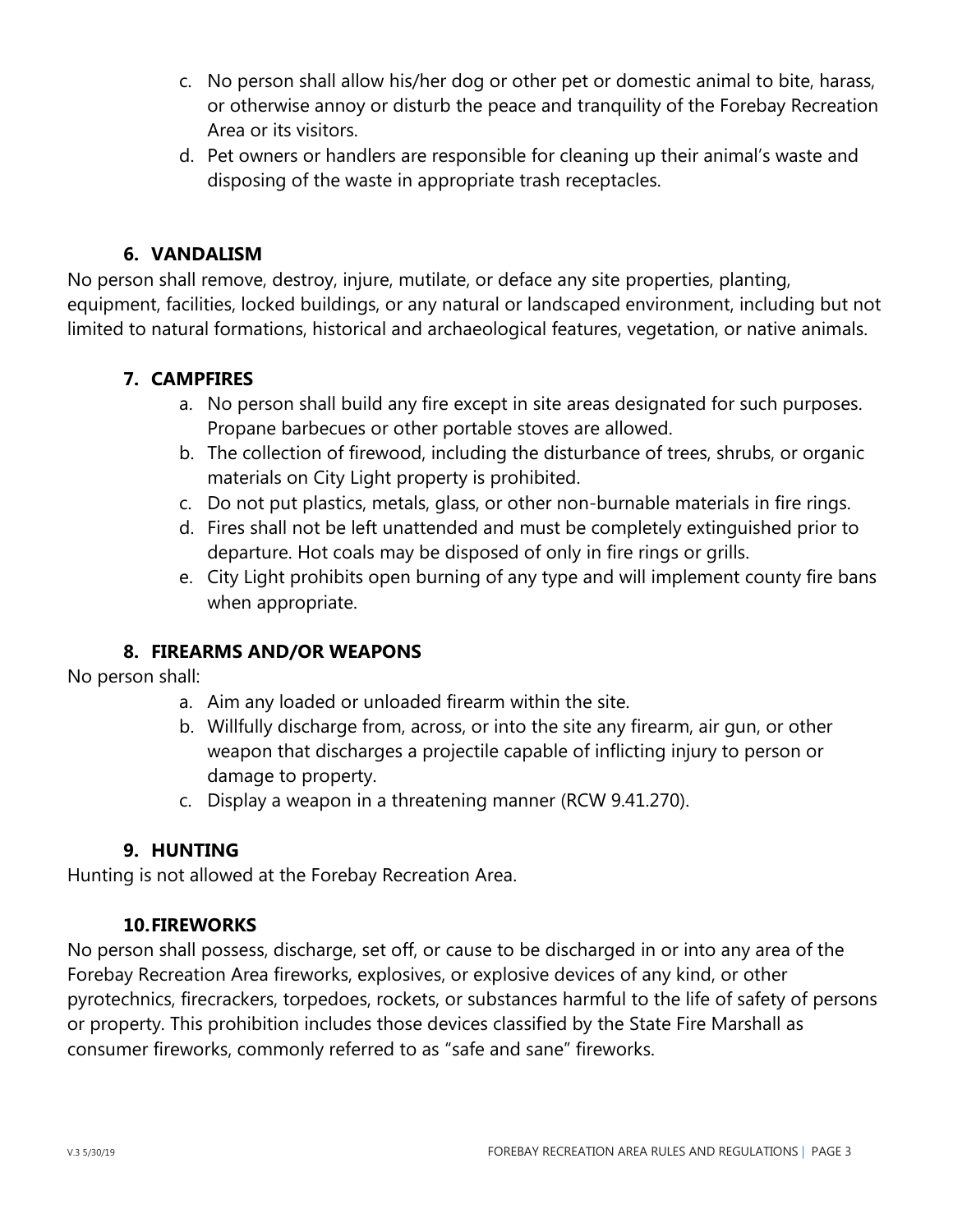- c. No person shall allow his/her dog or other pet or domestic animal to bite, harass, or otherwise annoy or disturb the peace and tranquility of the Forebay Recreation Area or its visitors.
- d. Pet owners or handlers are responsible for cleaning up their animal's waste and disposing of the waste in appropriate trash receptacles.

# **6. VANDALISM**

No person shall remove, destroy, injure, mutilate, or deface any site properties, planting, equipment, facilities, locked buildings, or any natural or landscaped environment, including but not limited to natural formations, historical and archaeological features, vegetation, or native animals.

# **7. CAMPFIRES**

- a. No person shall build any fire except in site areas designated for such purposes. Propane barbecues or other portable stoves are allowed.
- b. The collection of firewood, including the disturbance of trees, shrubs, or organic materials on City Light property is prohibited.
- c. Do not put plastics, metals, glass, or other non-burnable materials in fire rings.
- d. Fires shall not be left unattended and must be completely extinguished prior to departure. Hot coals may be disposed of only in fire rings or grills.
- e. City Light prohibits open burning of any type and will implement county fire bans when appropriate.

#### **8. FIREARMS AND/OR WEAPONS**

No person shall:

- a. Aim any loaded or unloaded firearm within the site.
- b. Willfully discharge from, across, or into the site any firearm, air gun, or other weapon that discharges a projectile capable of inflicting injury to person or damage to property.
- c. Display a weapon in a threatening manner (RCW 9.41.270).

#### **9. HUNTING**

Hunting is not allowed at the Forebay Recreation Area.

#### **10.FIREWORKS**

No person shall possess, discharge, set off, or cause to be discharged in or into any area of the Forebay Recreation Area fireworks, explosives, or explosive devices of any kind, or other pyrotechnics, firecrackers, torpedoes, rockets, or substances harmful to the life of safety of persons or property. This prohibition includes those devices classified by the State Fire Marshall as consumer fireworks, commonly referred to as "safe and sane" fireworks.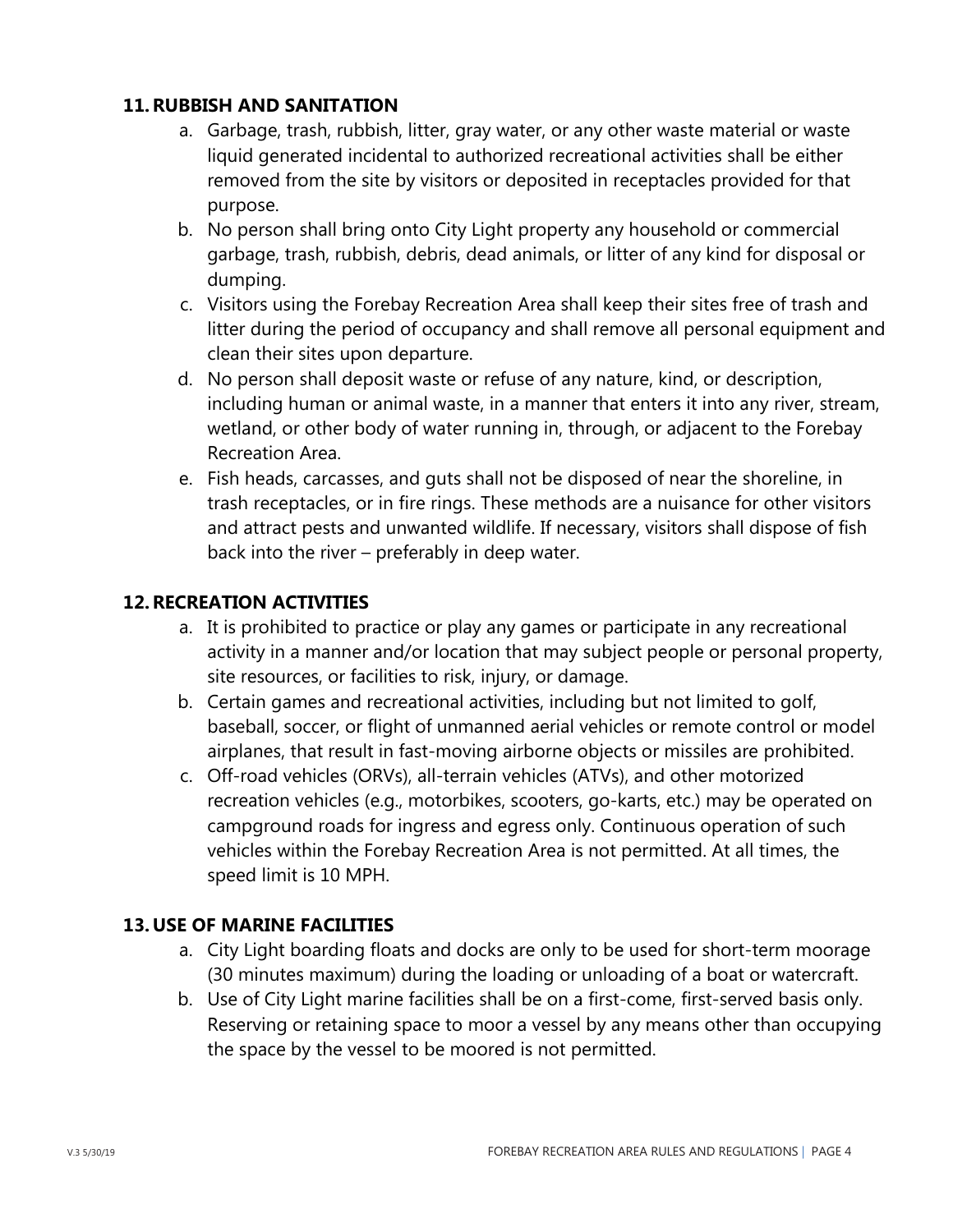#### **11.RUBBISH AND SANITATION**

- a. Garbage, trash, rubbish, litter, gray water, or any other waste material or waste liquid generated incidental to authorized recreational activities shall be either removed from the site by visitors or deposited in receptacles provided for that purpose.
- b. No person shall bring onto City Light property any household or commercial garbage, trash, rubbish, debris, dead animals, or litter of any kind for disposal or dumping.
- c. Visitors using the Forebay Recreation Area shall keep their sites free of trash and litter during the period of occupancy and shall remove all personal equipment and clean their sites upon departure.
- d. No person shall deposit waste or refuse of any nature, kind, or description, including human or animal waste, in a manner that enters it into any river, stream, wetland, or other body of water running in, through, or adjacent to the Forebay Recreation Area.
- e. Fish heads, carcasses, and guts shall not be disposed of near the shoreline, in trash receptacles, or in fire rings. These methods are a nuisance for other visitors and attract pests and unwanted wildlife. If necessary, visitors shall dispose of fish back into the river – preferably in deep water.

#### **12.RECREATION ACTIVITIES**

- a. It is prohibited to practice or play any games or participate in any recreational activity in a manner and/or location that may subject people or personal property, site resources, or facilities to risk, injury, or damage.
- b. Certain games and recreational activities, including but not limited to golf, baseball, soccer, or flight of unmanned aerial vehicles or remote control or model airplanes, that result in fast-moving airborne objects or missiles are prohibited.
- c. Off-road vehicles (ORVs), all-terrain vehicles (ATVs), and other motorized recreation vehicles (e.g., motorbikes, scooters, go-karts, etc.) may be operated on campground roads for ingress and egress only. Continuous operation of such vehicles within the Forebay Recreation Area is not permitted. At all times, the speed limit is 10 MPH.

#### **13. USE OF MARINE FACILITIES**

- a. City Light boarding floats and docks are only to be used for short-term moorage (30 minutes maximum) during the loading or unloading of a boat or watercraft.
- b. Use of City Light marine facilities shall be on a first-come, first-served basis only. Reserving or retaining space to moor a vessel by any means other than occupying the space by the vessel to be moored is not permitted.